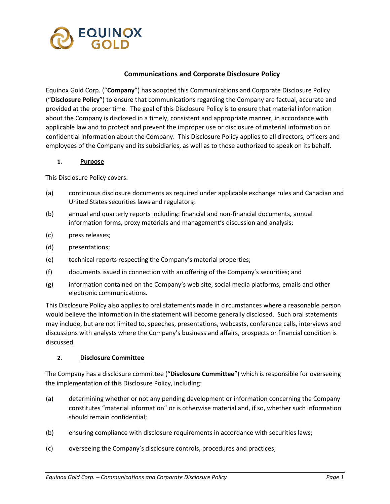

#### **Communications and Corporate Disclosure Policy**

Equinox Gold Corp. ("**Company**") has adopted this Communications and Corporate Disclosure Policy ("**Disclosure Policy**") to ensure that communications regarding the Company are factual, accurate and provided at the proper time. The goal of this Disclosure Policy is to ensure that material information about the Company is disclosed in a timely, consistent and appropriate manner, in accordance with applicable law and to protect and prevent the improper use or disclosure of material information or confidential information about the Company. This Disclosure Policy applies to all directors, officers and employees of the Company and its subsidiaries, as well as to those authorized to speak on its behalf.

#### **1. Purpose**

This Disclosure Policy covers:

- (a) continuous disclosure documents as required under applicable exchange rules and Canadian and United States securities laws and regulators;
- (b) annual and quarterly reports including: financial and non-financial documents, annual information forms, proxy materials and management's discussion and analysis;
- (c) press releases;
- (d) presentations;
- (e) technical reports respecting the Company's material properties;
- (f) documents issued in connection with an offering of the Company's securities; and
- (g) information contained on the Company's web site, social media platforms, emails and other electronic communications.

This Disclosure Policy also applies to oral statements made in circumstances where a reasonable person would believe the information in the statement will become generally disclosed. Such oral statements may include, but are not limited to, speeches, presentations, webcasts, conference calls, interviews and discussions with analysts where the Company's business and affairs, prospects or financial condition is discussed.

#### **2. Disclosure Committee**

The Company has a disclosure committee ("**Disclosure Committee**") which is responsible for overseeing the implementation of this Disclosure Policy, including:

- (a) determining whether or not any pending development or information concerning the Company constitutes "material information" or is otherwise material and, if so, whether such information should remain confidential;
- (b) ensuring compliance with disclosure requirements in accordance with securities laws;
- (c) overseeing the Company's disclosure controls, procedures and practices;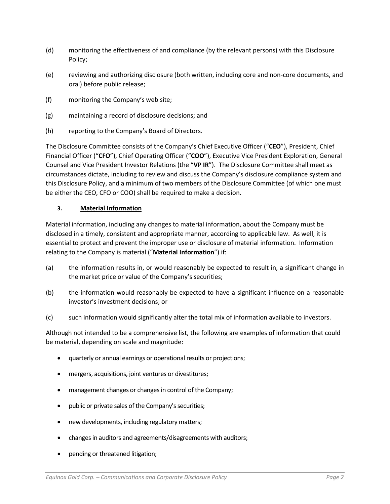- (d) monitoring the effectiveness of and compliance (by the relevant persons) with this Disclosure Policy;
- (e) reviewing and authorizing disclosure (both written, including core and non-core documents, and oral) before public release;
- (f) monitoring the Company's web site;
- (g) maintaining a record of disclosure decisions; and
- (h) reporting to the Company's Board of Directors.

The Disclosure Committee consists of the Company's Chief Executive Officer ("**CEO**"), President, Chief Financial Officer ("**CFO**"), Chief Operating Officer ("**COO**"), Executive Vice President Exploration, General Counsel and Vice President Investor Relations (the "**VP IR**"). The Disclosure Committee shall meet as circumstances dictate, including to review and discuss the Company's disclosure compliance system and this Disclosure Policy, and a minimum of two members of the Disclosure Committee (of which one must be either the CEO, CFO or COO) shall be required to make a decision.

#### **3. Material Information**

Material information, including any changes to material information, about the Company must be disclosed in a timely, consistent and appropriate manner, according to applicable law. As well, it is essential to protect and prevent the improper use or disclosure of material information. Information relating to the Company is material ("**Material Information**") if:

- (a) the information results in, or would reasonably be expected to result in, a significant change in the market price or value of the Company's securities;
- (b) the information would reasonably be expected to have a significant influence on a reasonable investor's investment decisions; or
- (c) such information would significantly alter the total mix of information available to investors.

Although not intended to be a comprehensive list, the following are examples of information that could be material, depending on scale and magnitude:

- quarterly or annual earnings or operational results or projections;
- mergers, acquisitions, joint ventures or divestitures;
- management changes or changes in control of the Company;
- public or private sales of the Company's securities;
- new developments, including regulatory matters;
- changes in auditors and agreements/disagreements with auditors;
- pending or threatened litigation;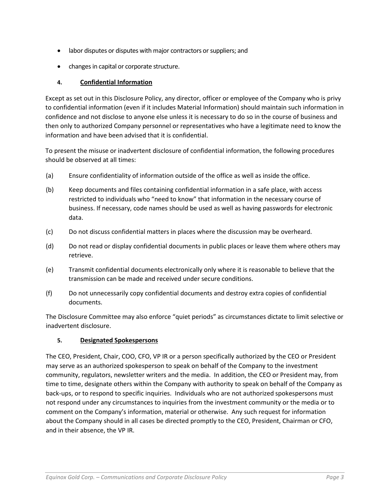- labor disputes or disputes with major contractors or suppliers; and
- changes in capital or corporate structure.

## **4. Confidential Information**

Except as set out in this Disclosure Policy, any director, officer or employee of the Company who is privy to confidential information (even if it includes Material Information) should maintain such information in confidence and not disclose to anyone else unless it is necessary to do so in the course of business and then only to authorized Company personnel or representatives who have a legitimate need to know the information and have been advised that it is confidential.

To present the misuse or inadvertent disclosure of confidential information, the following procedures should be observed at all times:

- (a) Ensure confidentiality of information outside of the office as well as inside the office.
- (b) Keep documents and files containing confidential information in a safe place, with access restricted to individuals who "need to know" that information in the necessary course of business. If necessary, code names should be used as well as having passwords for electronic data.
- (c) Do not discuss confidential matters in places where the discussion may be overheard.
- (d) Do not read or display confidential documents in public places or leave them where others may retrieve.
- (e) Transmit confidential documents electronically only where it is reasonable to believe that the transmission can be made and received under secure conditions.
- (f) Do not unnecessarily copy confidential documents and destroy extra copies of confidential documents.

The Disclosure Committee may also enforce "quiet periods" as circumstances dictate to limit selective or inadvertent disclosure.

#### **5. Designated Spokespersons**

The CEO, President, Chair, COO, CFO, VP IR or a person specifically authorized by the CEO or President may serve as an authorized spokesperson to speak on behalf of the Company to the investment community, regulators, newsletter writers and the media. In addition, the CEO or President may, from time to time, designate others within the Company with authority to speak on behalf of the Company as back-ups, or to respond to specific inquiries. Individuals who are not authorized spokespersons must not respond under any circumstances to inquiries from the investment community or the media or to comment on the Company's information, material or otherwise. Any such request for information about the Company should in all cases be directed promptly to the CEO, President, Chairman or CFO, and in their absence, the VP IR.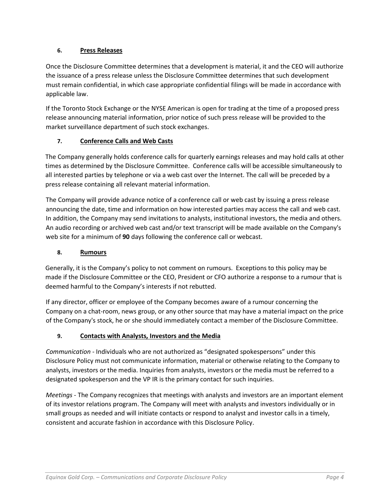## **6. Press Releases**

Once the Disclosure Committee determines that a development is material, it and the CEO will authorize the issuance of a press release unless the Disclosure Committee determines that such development must remain confidential, in which case appropriate confidential filings will be made in accordance with applicable law.

If the Toronto Stock Exchange or the NYSE American is open for trading at the time of a proposed press release announcing material information, prior notice of such press release will be provided to the market surveillance department of such stock exchanges.

## **7. Conference Calls and Web Casts**

The Company generally holds conference calls for quarterly earnings releases and may hold calls at other times as determined by the Disclosure Committee. Conference calls will be accessible simultaneously to all interested parties by telephone or via a web cast over the Internet. The call will be preceded by a press release containing all relevant material information.

The Company will provide advance notice of a conference call or web cast by issuing a press release announcing the date, time and information on how interested parties may access the call and web cast. In addition, the Company may send invitations to analysts, institutional investors, the media and others. An audio recording or archived web cast and/or text transcript will be made available on the Company's web site for a minimum of **90** days following the conference call or webcast.

## **8. Rumours**

Generally, it is the Company's policy to not comment on rumours. Exceptions to this policy may be made if the Disclosure Committee or the CEO, President or CFO authorize a response to a rumour that is deemed harmful to the Company's interests if not rebutted.

If any director, officer or employee of the Company becomes aware of a rumour concerning the Company on a chat-room, news group, or any other source that may have a material impact on the price of the Company's stock, he or she should immediately contact a member of the Disclosure Committee.

## **9. Contacts with Analysts, Investors and the Media**

*Communication -* Individuals who are not authorized as "designated spokespersons" under this Disclosure Policy must not communicate information, material or otherwise relating to the Company to analysts, investors or the media. Inquiries from analysts, investors or the media must be referred to a designated spokesperson and the VP IR is the primary contact for such inquiries.

*Meetings* - The Company recognizes that meetings with analysts and investors are an important element of its investor relations program. The Company will meet with analysts and investors individually or in small groups as needed and will initiate contacts or respond to analyst and investor calls in a timely, consistent and accurate fashion in accordance with this Disclosure Policy.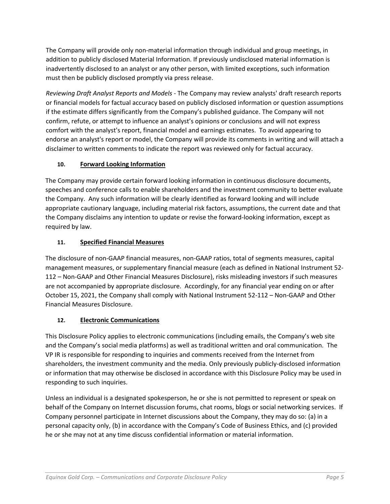The Company will provide only non-material information through individual and group meetings, in addition to publicly disclosed Material Information. If previously undisclosed material information is inadvertently disclosed to an analyst or any other person, with limited exceptions, such information must then be publicly disclosed promptly via press release.

*Reviewing Draft Analyst Reports and Models* - The Company may review analysts' draft research reports or financial models for factual accuracy based on publicly disclosed information or question assumptions if the estimate differs significantly from the Company's published guidance. The Company will not confirm, refute, or attempt to influence an analyst's opinions or conclusions and will not express comfort with the analyst's report, financial model and earnings estimates. To avoid appearing to endorse an analyst's report or model, the Company will provide its comments in writing and will attach a disclaimer to written comments to indicate the report was reviewed only for factual accuracy.

# **10. Forward Looking Information**

The Company may provide certain forward looking information in continuous disclosure documents, speeches and conference calls to enable shareholders and the investment community to better evaluate the Company. Any such information will be clearly identified as forward looking and will include appropriate cautionary language, including material risk factors, assumptions, the current date and that the Company disclaims any intention to update or revise the forward-looking information, except as required by law.

# **11. Specified Financial Measures**

The disclosure of non-GAAP financial measures, non-GAAP ratios, total of segments measures, capital management measures, or supplementary financial measure (each as defined in National Instrument 52- 112 – Non-GAAP and Other Financial Measures Disclosure), risks misleading investors if such measures are not accompanied by appropriate disclosure. Accordingly, for any financial year ending on or after October 15, 2021, the Company shall comply with National Instrument 52-112 – Non-GAAP and Other Financial Measures Disclosure.

# **12. Electronic Communications**

This Disclosure Policy applies to electronic communications (including emails, the Company's web site and the Company's social media platforms) as well as traditional written and oral communication. The VP IR is responsible for responding to inquiries and comments received from the Internet from shareholders, the investment community and the media. Only previously publicly-disclosed information or information that may otherwise be disclosed in accordance with this Disclosure Policy may be used in responding to such inquiries.

Unless an individual is a designated spokesperson, he or she is not permitted to represent or speak on behalf of the Company on Internet discussion forums, chat rooms, blogs or social networking services. If Company personnel participate in Internet discussions about the Company, they may do so: (a) in a personal capacity only, (b) in accordance with the Company's Code of Business Ethics, and (c) provided he or she may not at any time discuss confidential information or material information.